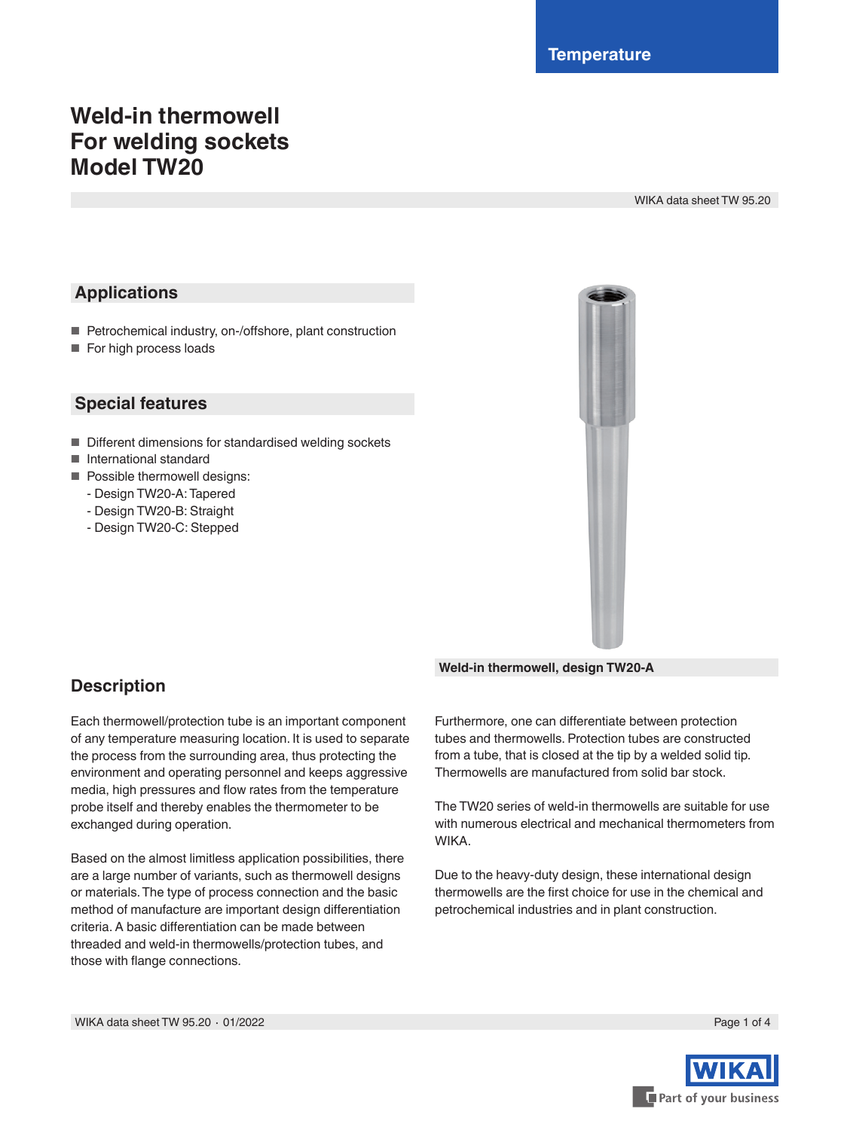# **Weld-in thermowell For welding sockets Model TW20**

WIKA data sheet TW 95.20

## **Applications**

- Petrochemical industry, on-/offshore, plant construction
- For high process loads

### **Special features**

- Different dimensions for standardised welding sockets
- International standard
- Possible thermowell designs:
	- Design TW20-A: Tapered
	- Design TW20-B: Straight
	- Design TW20-C: Stepped



## **Description**

Each thermowell/protection tube is an important component of any temperature measuring location. It is used to separate the process from the surrounding area, thus protecting the environment and operating personnel and keeps aggressive media, high pressures and flow rates from the temperature probe itself and thereby enables the thermometer to be exchanged during operation.

Based on the almost limitless application possibilities, there are a large number of variants, such as thermowell designs or materials. The type of process connection and the basic method of manufacture are important design differentiation criteria. A basic differentiation can be made between threaded and weld-in thermowells/protection tubes, and those with flange connections.

**Weld-in thermowell, design TW20-A**

Furthermore, one can differentiate between protection tubes and thermowells. Protection tubes are constructed from a tube, that is closed at the tip by a welded solid tip. Thermowells are manufactured from solid bar stock.

The TW20 series of weld-in thermowells are suitable for use with numerous electrical and mechanical thermometers from WIKA.

Due to the heavy-duty design, these international design thermowells are the first choice for use in the chemical and petrochemical industries and in plant construction.

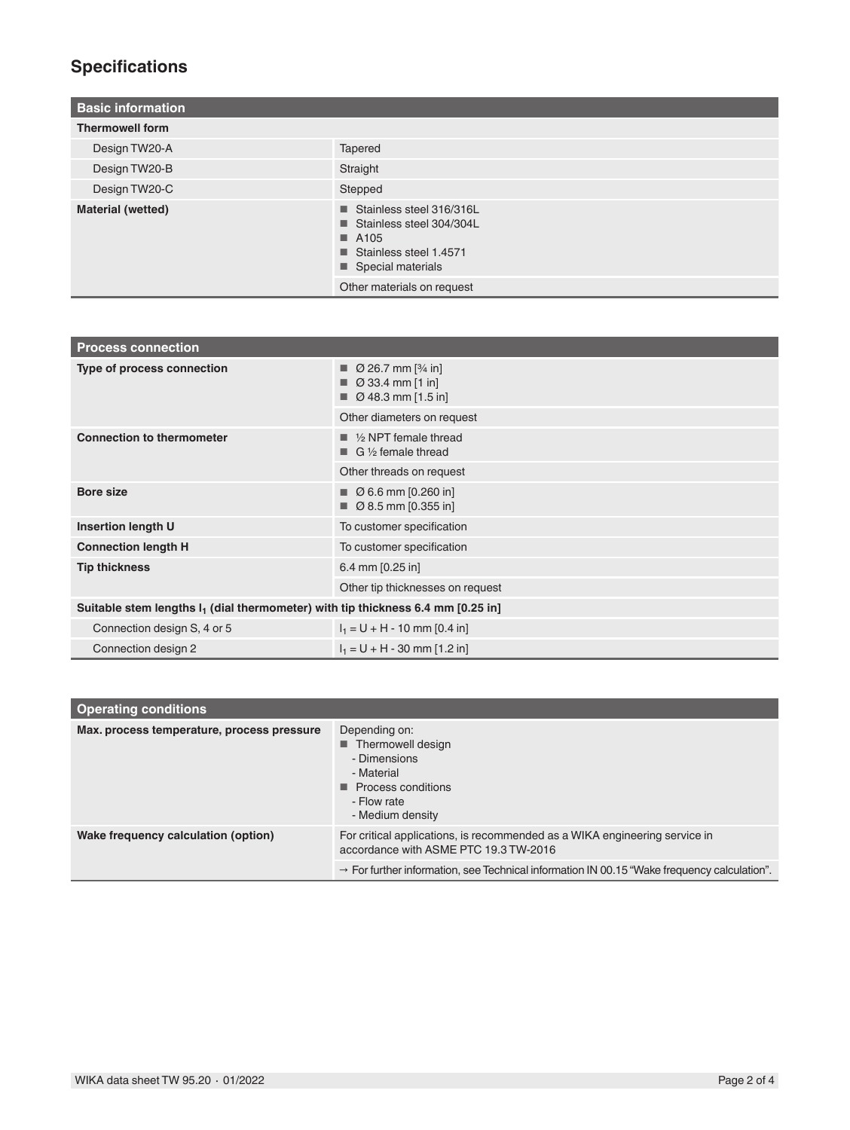## **Specifications**

| <b>Basic information</b> |                                                                                                                            |
|--------------------------|----------------------------------------------------------------------------------------------------------------------------|
| <b>Thermowell form</b>   |                                                                                                                            |
| Design TW20-A            | Tapered                                                                                                                    |
| Design TW20-B            | Straight                                                                                                                   |
| Design TW20-C            | Stepped                                                                                                                    |
| <b>Material (wetted)</b> | Stainless steel 316/316L<br>Stainless steel 304/304L<br>$\blacksquare$ A105<br>Stainless steel 1.4571<br>Special materials |
|                          | Other materials on request                                                                                                 |

| <b>Process connection</b>                                                          |                                                                                                                     |  |  |  |  |
|------------------------------------------------------------------------------------|---------------------------------------------------------------------------------------------------------------------|--|--|--|--|
| Type of process connection                                                         | $\Box$ Ø 26.7 mm [ $\frac{3}{4}$ in]<br>$\varnothing$ 33.4 mm [1 in]<br>$\blacksquare$ $\emptyset$ 48.3 mm [1.5 in] |  |  |  |  |
|                                                                                    | Other diameters on request                                                                                          |  |  |  |  |
| <b>Connection to thermometer</b>                                                   | $\blacksquare$ 1/2 NPT female thread<br>$\Box$ G 1/2 female thread                                                  |  |  |  |  |
|                                                                                    | Other threads on request                                                                                            |  |  |  |  |
| <b>Bore size</b>                                                                   | $\blacksquare$ $\emptyset$ 6.6 mm [0.260 in]<br>$\Box$ Ø 8.5 mm [0.355 in]                                          |  |  |  |  |
| <b>Insertion length U</b>                                                          | To customer specification                                                                                           |  |  |  |  |
| <b>Connection length H</b>                                                         | To customer specification                                                                                           |  |  |  |  |
| <b>Tip thickness</b>                                                               | 6.4 mm [0.25 in]                                                                                                    |  |  |  |  |
|                                                                                    | Other tip thicknesses on request                                                                                    |  |  |  |  |
| Suitable stem lengths $I_1$ (dial thermometer) with tip thickness 6.4 mm [0.25 in] |                                                                                                                     |  |  |  |  |
| Connection design S, 4 or 5                                                        | $I_1 = U + H - 10$ mm [0.4 in]                                                                                      |  |  |  |  |
| Connection design 2                                                                | $I_1 = U + H - 30$ mm [1.2 in]                                                                                      |  |  |  |  |

| <b>Operating conditions</b>                |                                                                                                                                                                                                                                |  |  |  |  |  |
|--------------------------------------------|--------------------------------------------------------------------------------------------------------------------------------------------------------------------------------------------------------------------------------|--|--|--|--|--|
| Max. process temperature, process pressure | Depending on:<br>Thermowell design<br>- Dimensions<br>- Material<br>$\blacksquare$ Process conditions<br>- Flow rate<br>- Medium density                                                                                       |  |  |  |  |  |
| Wake frequency calculation (option)        | For critical applications, is recommended as a WIKA engineering service in<br>accordance with ASME PTC 19.3 TW-2016<br>$\rightarrow$ For further information, see Technical information IN 00.15 "Wake frequency calculation". |  |  |  |  |  |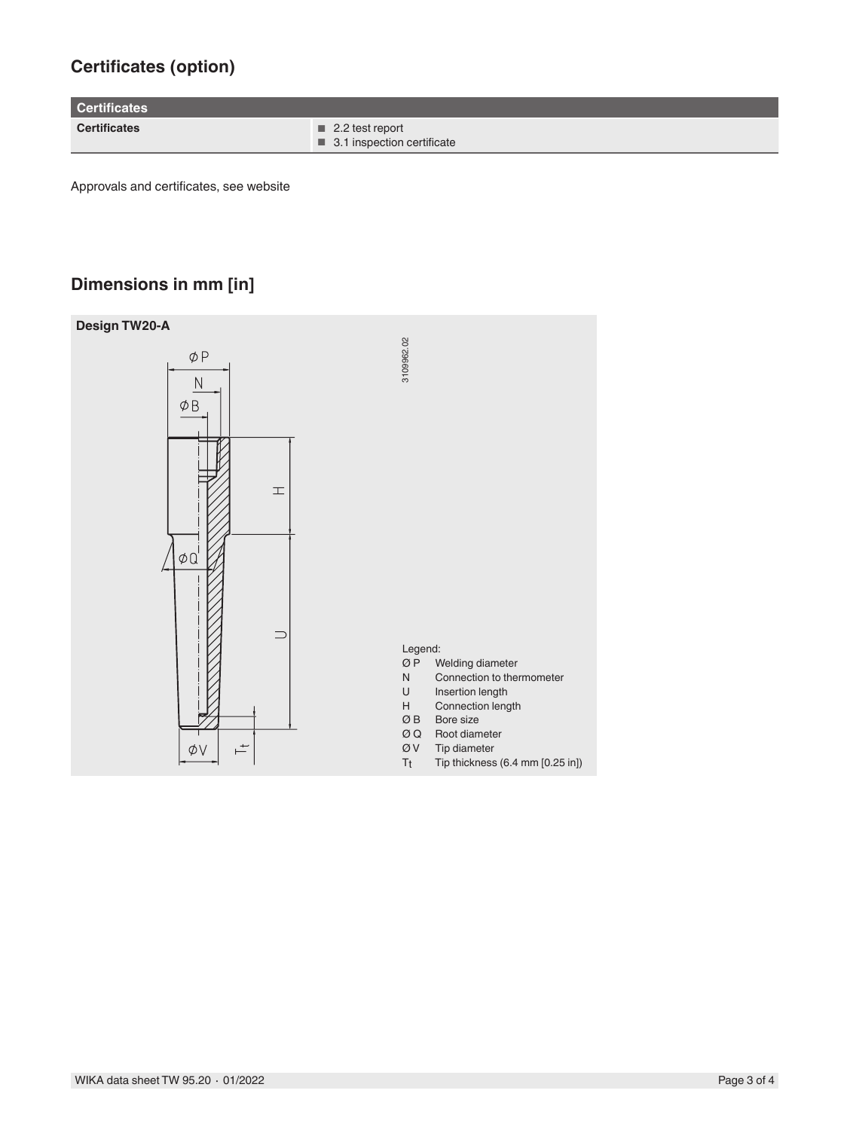## **Certificates (option)**

**Certificates**

**Certificates** ■ 2.2 test report ■ 3.1 inspection certificate

Approvals and certificates, see website

## **Dimensions in mm [in]**